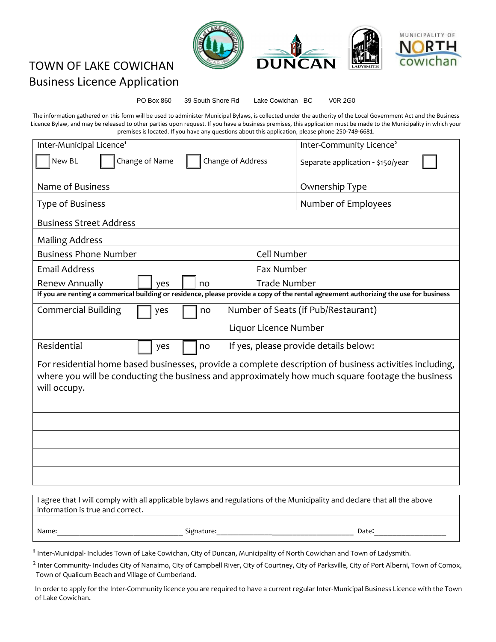

## TOWN OF LAKE COWICHAN Business Licence Application

PO Box 860 39 South Shore Rd Lake Cowichan BC V0R 2G0

The information gathered on this form will be used to administer Municipal Bylaws, is collected under the authority of the Local Government Act and the Business Licence Bylaw, and may be released to other parties upon request. If you have a business premises, this application must be made to the Municipality in which your premises is located. If you have any questions about this application, please phone 250-749-6681.

| Inter-Municipal Licence <sup>1</sup>                                                                                                                                                                                        | Inter-Community Licence <sup>2</sup> |  |  |  |
|-----------------------------------------------------------------------------------------------------------------------------------------------------------------------------------------------------------------------------|--------------------------------------|--|--|--|
| New BL<br>Change of Name<br>Change of Address                                                                                                                                                                               | Separate application - \$150/year    |  |  |  |
| Name of Business                                                                                                                                                                                                            | Ownership Type                       |  |  |  |
| Type of Business                                                                                                                                                                                                            | Number of Employees                  |  |  |  |
| <b>Business Street Address</b>                                                                                                                                                                                              |                                      |  |  |  |
| <b>Mailing Address</b>                                                                                                                                                                                                      |                                      |  |  |  |
| <b>Business Phone Number</b>                                                                                                                                                                                                | Cell Number                          |  |  |  |
| <b>Email Address</b>                                                                                                                                                                                                        | <b>Fax Number</b>                    |  |  |  |
| <b>Renew Annually</b><br>no<br>ves                                                                                                                                                                                          | <b>Trade Number</b>                  |  |  |  |
| If you are renting a commerical building or residence, please provide a copy of the rental agreement authorizing the use for business                                                                                       |                                      |  |  |  |
| <b>Commercial Building</b><br>Number of Seats (if Pub/Restaurant)<br>yes<br>no                                                                                                                                              |                                      |  |  |  |
| Liquor Licence Number                                                                                                                                                                                                       |                                      |  |  |  |
| Residential<br>If yes, please provide details below:<br>no<br>yes                                                                                                                                                           |                                      |  |  |  |
| For residential home based businesses, provide a complete description of business activities including,<br>where you will be conducting the business and approximately how much square footage the business<br>will occupy. |                                      |  |  |  |
|                                                                                                                                                                                                                             |                                      |  |  |  |
|                                                                                                                                                                                                                             |                                      |  |  |  |
|                                                                                                                                                                                                                             |                                      |  |  |  |
|                                                                                                                                                                                                                             |                                      |  |  |  |
|                                                                                                                                                                                                                             |                                      |  |  |  |

| I agree that I will comply with all applicable bylaws and regulations of the Municipality and declare that all the above |            |       |  |  |
|--------------------------------------------------------------------------------------------------------------------------|------------|-------|--|--|
| information is true and correct.                                                                                         |            |       |  |  |
|                                                                                                                          |            |       |  |  |
| Name:                                                                                                                    | Signature: | Date: |  |  |

**1** Inter-Municipal- Includes Town of Lake Cowichan, City of Duncan, Municipality of North Cowichan and Town of Ladysmith.

 $^2$  Inter Community- Includes City of Nanaimo, City of Campbell River, City of Courtney, City of Parksville, City of Port Alberni, Town of Comox, Town of Qualicum Beach and Village of Cumberland.

In order to apply for the Inter-Community licence you are required to have a current regular Inter-Municipal Business Licence with the Town of Lake Cowichan.